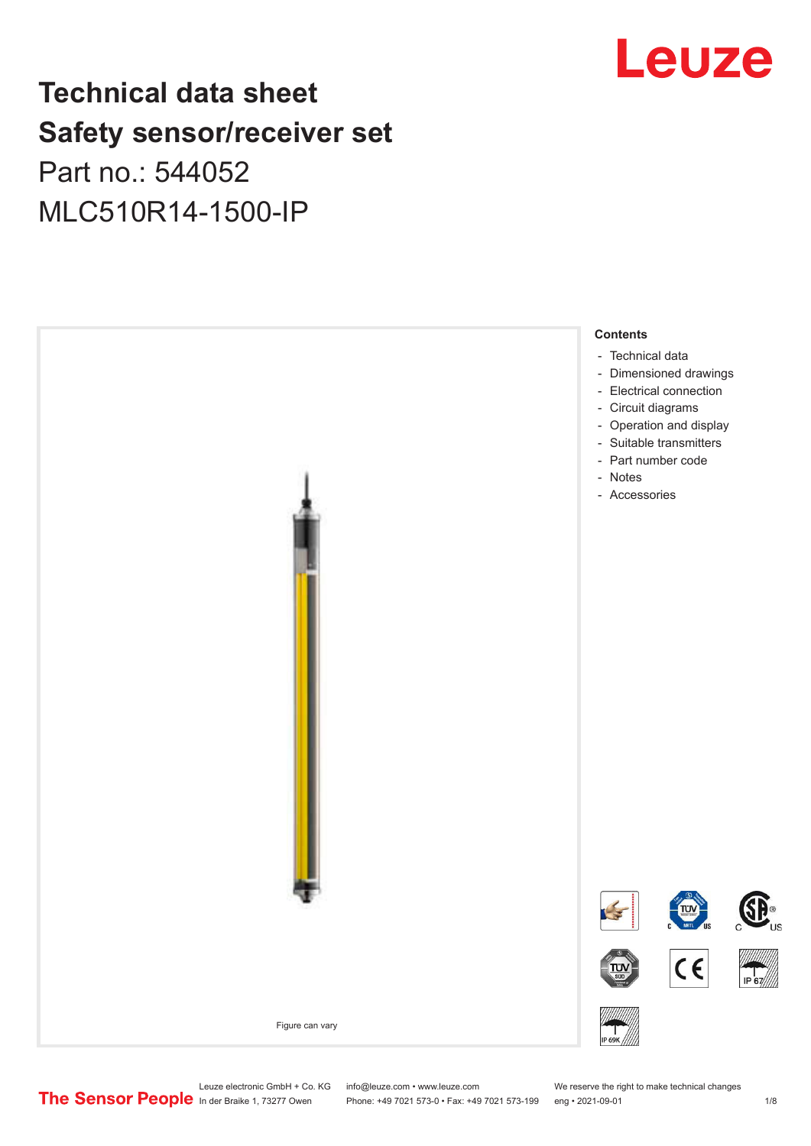## Leuze

## **Technical data sheet Safety sensor/receiver set** Part no.: 544052 MLC510R14-1500-IP



Leuze electronic GmbH + Co. KG info@leuze.com • www.leuze.com We reserve the right to make technical changes<br>
The Sensor People in der Braike 1, 73277 Owen Phone: +49 7021 573-0 • Fax: +49 7021 573-199 eng • 2021-09-01

Phone: +49 7021 573-0 • Fax: +49 7021 573-199 eng • 2021-09-01 1 2021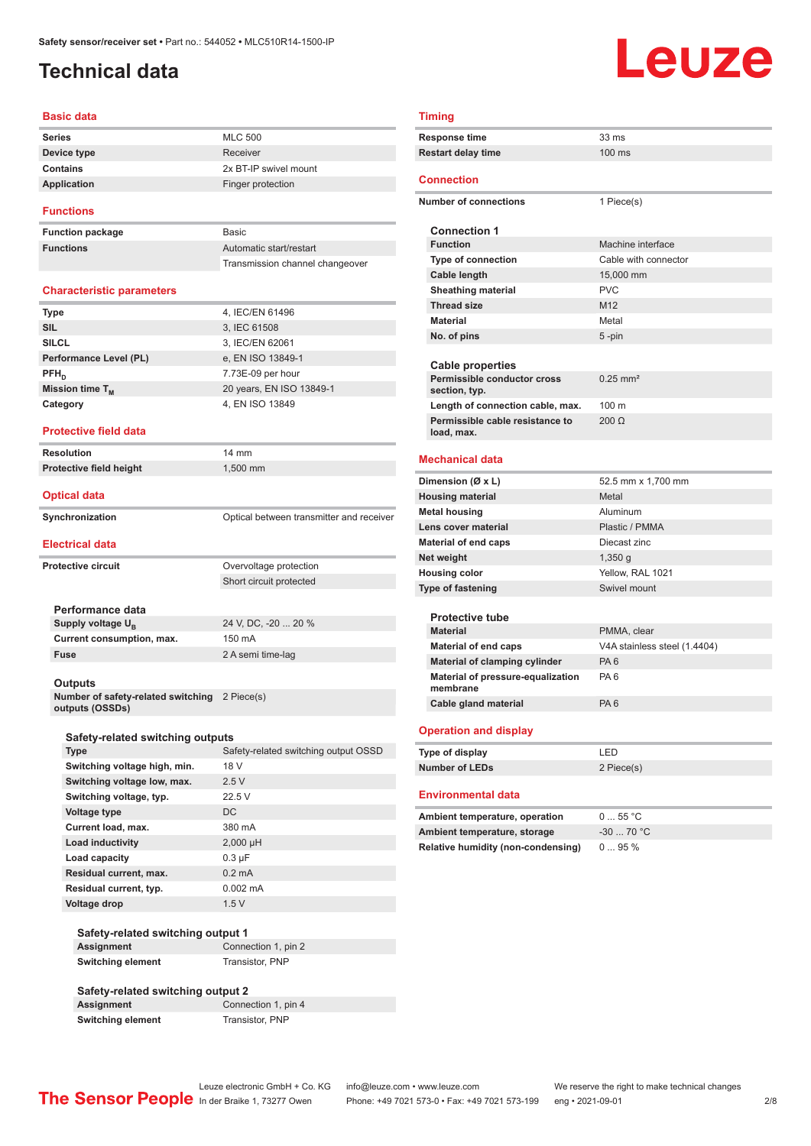## <span id="page-1-0"></span>**Technical data**

# Leuze

#### **Basic data**

| <b>Series</b> | <b>MLC 500</b>        |
|---------------|-----------------------|
| Device type   | Receiver              |
| Contains      | 2x BT-IP swivel mount |
| Application   | Finger protection     |
|               |                       |

#### **Functions**

**Function package Functions** 

| <b>Basic</b>                    |
|---------------------------------|
| Automatic start/restart         |
| Transmission channel changeover |

#### **Characteristic parameters**

| <b>Type</b>            | 4, IEC/EN 61496          |
|------------------------|--------------------------|
| <b>SIL</b>             | 3, IEC 61508             |
| <b>SILCL</b>           | 3, IEC/EN 62061          |
| Performance Level (PL) | e, EN ISO 13849-1        |
| $PFH_n$                | 7.73E-09 per hour        |
| Mission time $T_M$     | 20 years, EN ISO 13849-1 |
| Category               | 4, EN ISO 13849          |
|                        |                          |

#### **Protective field data**

**Resolution** 14 mm **Protective field height** 1,500 mm

#### **Optical data**

| Synchronization | Optical between transmitter and receiver |
|-----------------|------------------------------------------|

#### **Electrical data**

| Overvoltage protection              |
|-------------------------------------|
| Short circuit protected             |
|                                     |
|                                     |
| 24 V, DC, -20  20 %                 |
| Current consumption, max.<br>150 mA |
| 2 A semi time-lag                   |
|                                     |
|                                     |
|                                     |

**Number of safety-related switching outputs (OSSDs)** 2 Piece(s)

| Safety-related switching outputs |                                      |
|----------------------------------|--------------------------------------|
| <b>Type</b>                      | Safety-related switching output OSSD |
| Switching voltage high, min.     | 18 V                                 |
| Switching voltage low, max.      | 2.5V                                 |
| Switching voltage, typ.          | 22.5V                                |
| Voltage type                     | DC.                                  |
| <b>Current load, max.</b>        | 380 mA                               |
| <b>Load inductivity</b>          | $2,000$ µH                           |
| Load capacity                    | $0.3 \mu F$                          |
| Residual current, max.           | $0.2 \text{ mA}$                     |
| Residual current, typ.           | $0.002 \, \text{mA}$                 |
| Voltage drop                     | 1.5V                                 |

#### **Safety-related switching output 1 Assignment** Connection 1, pin 2 **Switching element** Transistor, PNP

#### **Safety-related switching output 2 Connection 1, pin 4 Switching element** Transistor, PNP

| Timing                                        |                              |  |
|-----------------------------------------------|------------------------------|--|
| <b>Response time</b><br>33 ms                 |                              |  |
| <b>Restart delay time</b>                     | 100 ms                       |  |
|                                               |                              |  |
| <b>Connection</b>                             |                              |  |
| <b>Number of connections</b>                  | 1 Piece(s)                   |  |
|                                               |                              |  |
| <b>Connection 1</b>                           |                              |  |
| <b>Function</b>                               | Machine interface            |  |
| Type of connection                            | Cable with connector         |  |
| Cable length                                  | 15,000 mm                    |  |
| <b>Sheathing material</b>                     | <b>PVC</b>                   |  |
| <b>Thread size</b>                            | M <sub>12</sub>              |  |
| <b>Material</b>                               | Metal                        |  |
| No. of pins                                   | 5 -pin                       |  |
|                                               |                              |  |
| <b>Cable properties</b>                       |                              |  |
| Permissible conductor cross                   | $0.25$ mm <sup>2</sup>       |  |
| section, typ.                                 |                              |  |
| Length of connection cable, max.              | $100 \text{ m}$              |  |
| Permissible cable resistance to<br>load, max. | $200 \Omega$                 |  |
|                                               |                              |  |
| <b>Mechanical data</b>                        |                              |  |
| Dimension (Ø x L)                             | 52.5 mm x 1,700 mm           |  |
| <b>Housing material</b>                       | Metal                        |  |
| <b>Metal housing</b>                          | Aluminum                     |  |
| Lens cover material                           | Plastic / PMMA               |  |
| <b>Material of end caps</b>                   | Diecast zinc                 |  |
| Net weight                                    | $1,350$ g                    |  |
|                                               | Yellow, RAL 1021             |  |
| <b>Housing color</b>                          | Swivel mount                 |  |
| <b>Type of fastening</b>                      |                              |  |
| <b>Protective tube</b>                        |                              |  |
| <b>Material</b>                               | PMMA, clear                  |  |
| <b>Material of end caps</b>                   | V4A stainless steel (1.4404) |  |
| Material of clamping cylinder                 | PA <sub>6</sub>              |  |
| Material of pressure-equalization             | PA <sub>6</sub>              |  |
| membrane                                      |                              |  |
| Cable gland material                          | PA <sub>6</sub>              |  |
|                                               |                              |  |
| <b>Operation and display</b>                  |                              |  |
| <b>Type of display</b>                        | LED                          |  |
| <b>Number of LEDs</b>                         | 2 Piece(s)                   |  |
|                                               |                              |  |
| <b>Environmental data</b>                     |                              |  |
| Ambient temperature, operation                | 055 °C                       |  |
| Ambient temperature, storage                  | -30  70 °C                   |  |
| Relative humidity (non-condensing)            | 095%                         |  |
|                                               |                              |  |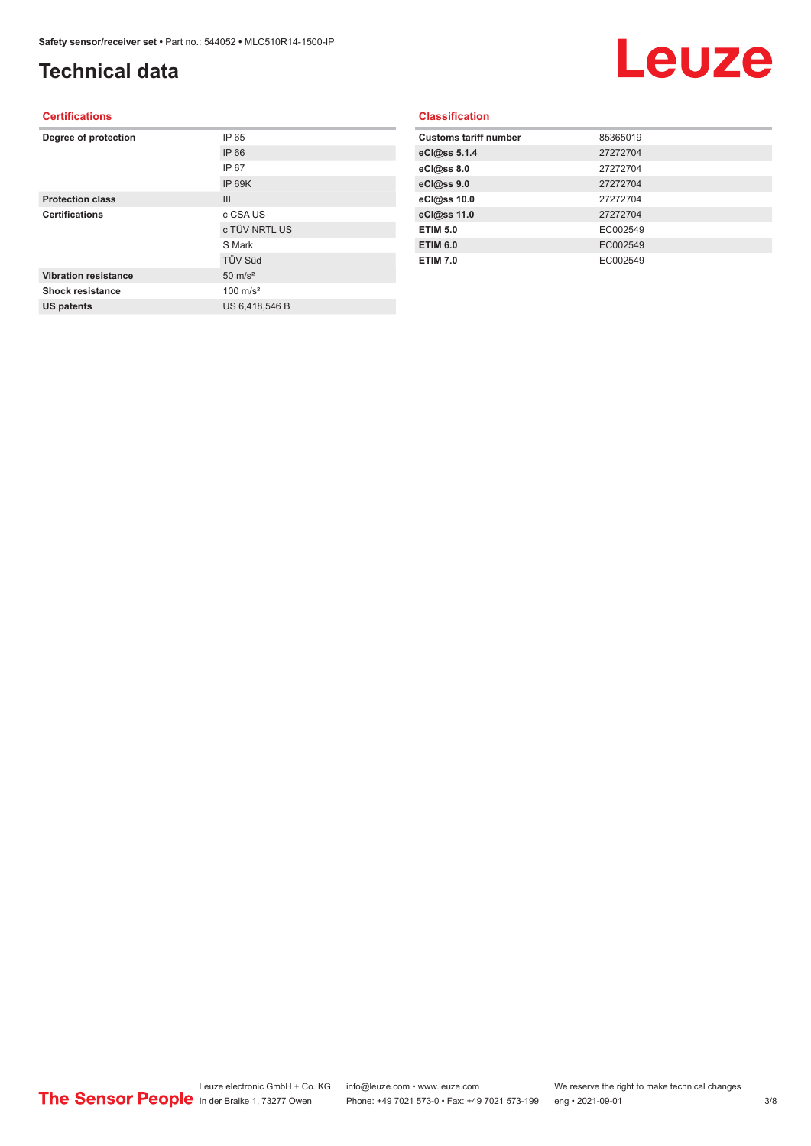## **Technical data**

## Leuze

#### **Certifications**

| Degree of protection        | IP 65               |
|-----------------------------|---------------------|
|                             | IP 66               |
|                             | IP 67               |
|                             | IP 69K              |
| <b>Protection class</b>     | III                 |
| <b>Certifications</b>       | c CSA US            |
|                             | c TÜV NRTL US       |
|                             | S Mark              |
|                             | <b>TÜV Süd</b>      |
| <b>Vibration resistance</b> | $50 \text{ m/s}^2$  |
| <b>Shock resistance</b>     | $100 \text{ m/s}^2$ |
| <b>US patents</b>           | US 6,418,546 B      |
|                             |                     |

#### **Classification**

| 85365019 |
|----------|
| 27272704 |
| 27272704 |
| 27272704 |
| 27272704 |
| 27272704 |
| EC002549 |
| EC002549 |
| EC002549 |
|          |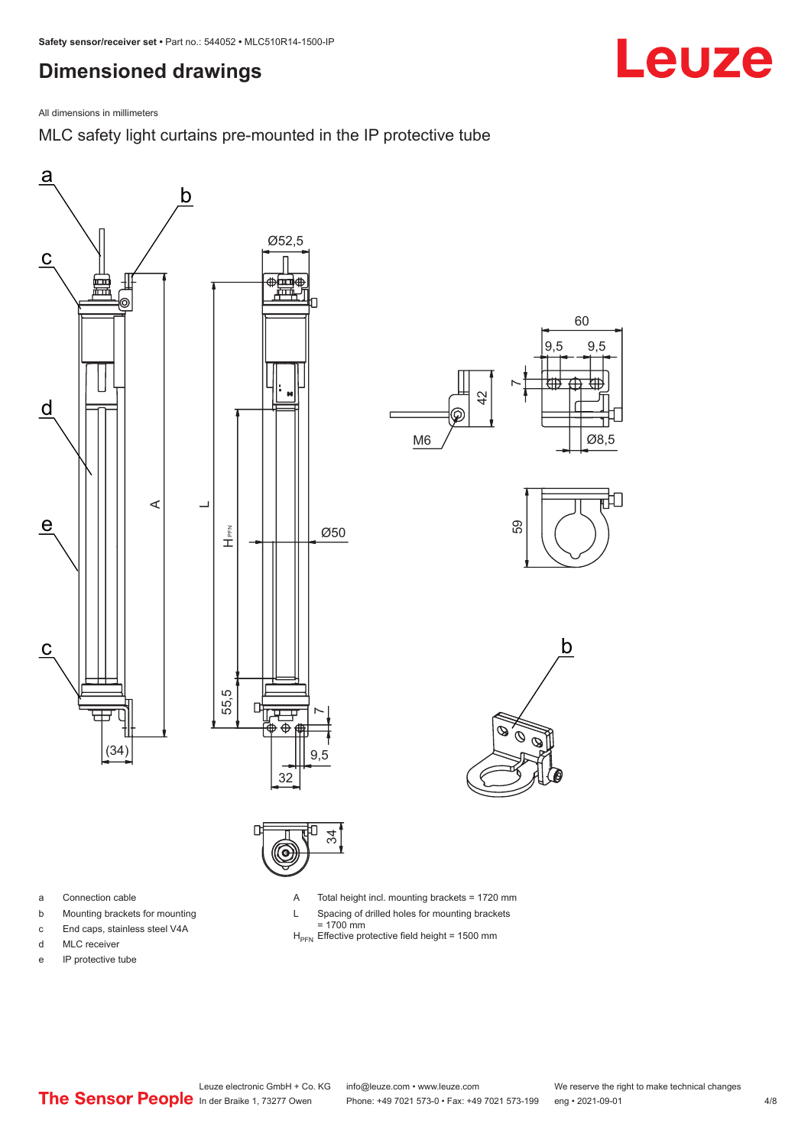## <span id="page-3-0"></span>**Dimensioned drawings**

![](_page_3_Picture_2.jpeg)

MLC safety light curtains pre-mounted in the IP protective tube

![](_page_3_Figure_4.jpeg)

![](_page_3_Figure_5.jpeg)

- a Connection cable
- b Mounting brackets for mounting
- c End caps, stainless steel V4A
- d MLC receiver
- e IP protective tube

A Total height incl. mounting brackets = 1720 mm

- L Spacing of drilled holes for mounting brackets
- = 1700 mm<br>H<sub>PFN</sub> Effective protective field height = 1500 mm
- 

Leuze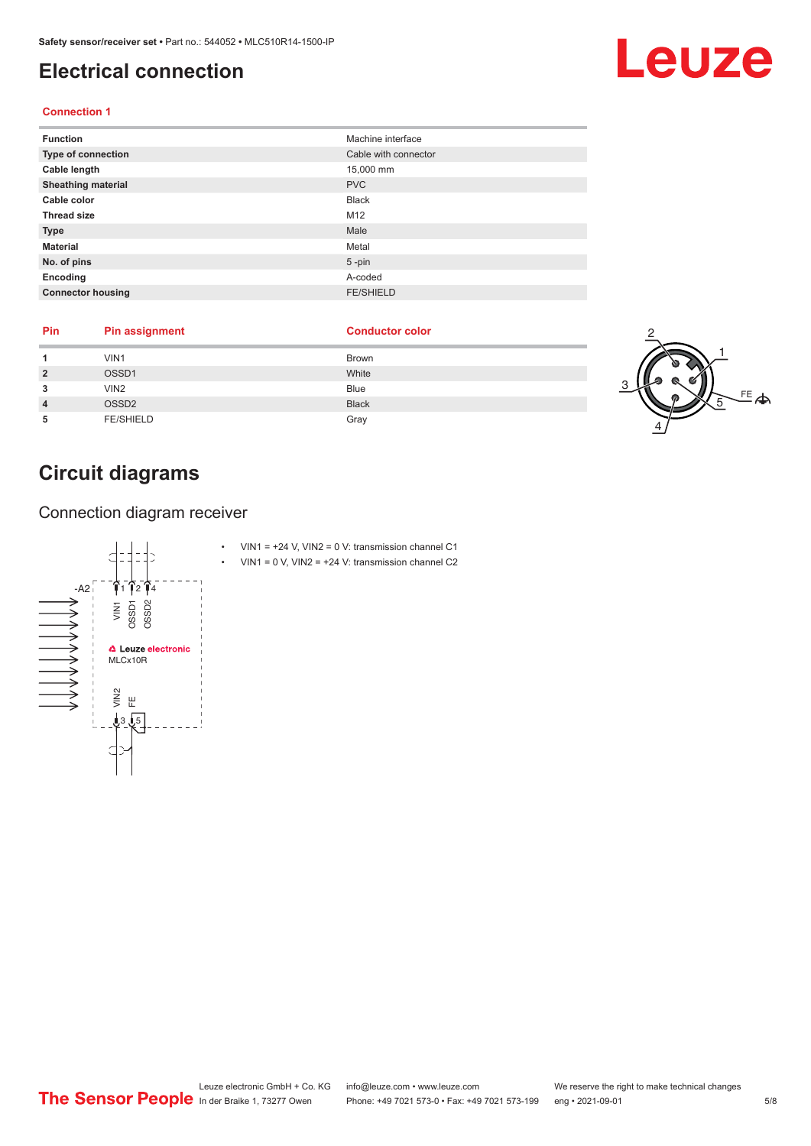## <span id="page-4-0"></span>**Electrical connection**

#### **Connection 1**

| <b>Function</b>           | Machine interface    |
|---------------------------|----------------------|
| Type of connection        | Cable with connector |
| Cable length              | 15,000 mm            |
| <b>Sheathing material</b> | <b>PVC</b>           |
| Cable color               | <b>Black</b>         |
| <b>Thread size</b>        | M12                  |
| <b>Type</b>               | Male                 |
| <b>Material</b>           | Metal                |
| No. of pins               | $5$ -pin             |
| Encoding                  | A-coded              |
| <b>Connector housing</b>  | <b>FE/SHIELD</b>     |

| Pin | <b>Pin assignment</b> | <b>Conductor color</b> |  |
|-----|-----------------------|------------------------|--|
|     | VIN1                  | <b>Brown</b>           |  |
|     | OSSD1                 | White                  |  |
|     | VIN <sub>2</sub>      | Blue                   |  |
|     | OSSD <sub>2</sub>     | <b>Black</b>           |  |
|     | <b>FE/SHIELD</b>      | Gray                   |  |

## **Circuit diagrams**

Connection diagram receiver

![](_page_4_Figure_7.jpeg)

Leuze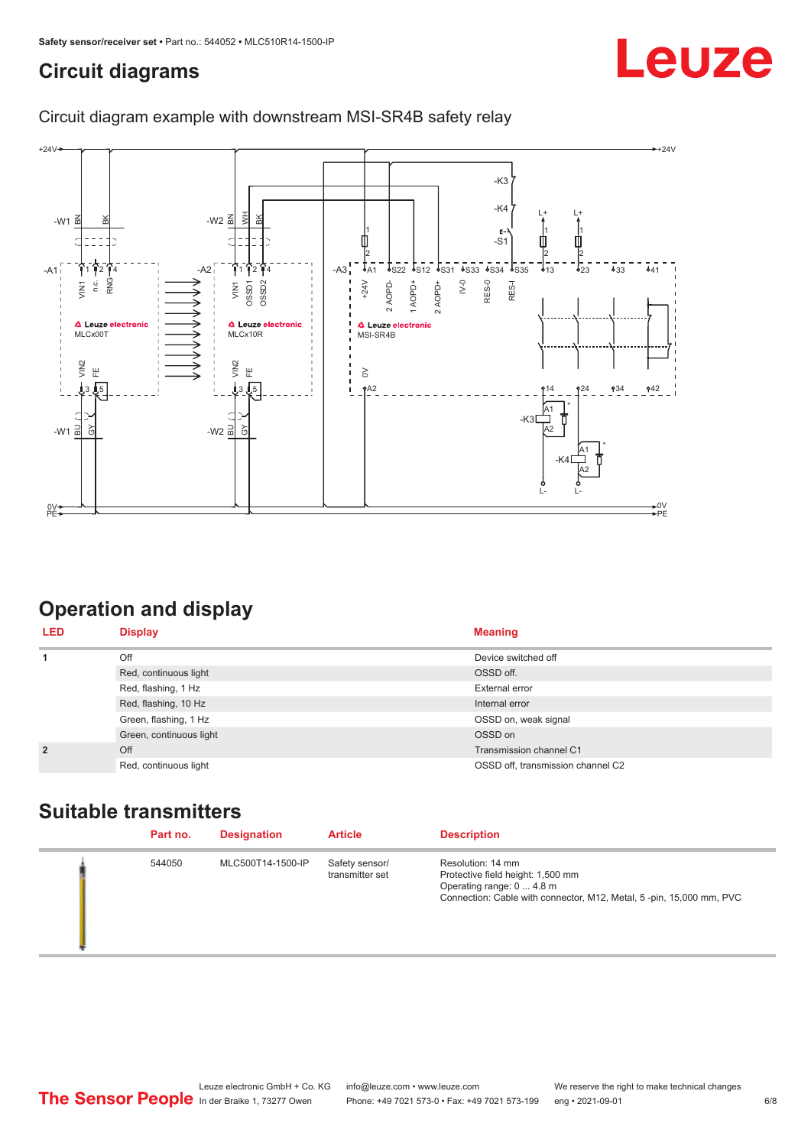## <span id="page-5-0"></span>**Circuit diagrams**

## Leuze

### Circuit diagram example with downstream MSI-SR4B safety relay

![](_page_5_Figure_4.jpeg)

## **Operation and display**

| <b>LED</b>     | <b>Display</b>          | <b>Meaning</b>                    |
|----------------|-------------------------|-----------------------------------|
| 1              | Off                     | Device switched off               |
|                | Red, continuous light   | OSSD off.                         |
|                | Red, flashing, 1 Hz     | External error                    |
|                | Red, flashing, 10 Hz    | Internal error                    |
|                | Green, flashing, 1 Hz   | OSSD on, weak signal              |
|                | Green, continuous light | OSSD on                           |
| $\overline{2}$ | Off                     | Transmission channel C1           |
|                | Red, continuous light   | OSSD off, transmission channel C2 |

## **Suitable transmitters**

| Part no. | <b>Designation</b> | <b>Article</b>                    | <b>Description</b>                                                                                                                                         |
|----------|--------------------|-----------------------------------|------------------------------------------------------------------------------------------------------------------------------------------------------------|
| 544050   | MLC500T14-1500-IP  | Safety sensor/<br>transmitter set | Resolution: 14 mm<br>Protective field height: 1,500 mm<br>Operating range: 0  4.8 m<br>Connection: Cable with connector, M12, Metal, 5-pin, 15,000 mm, PVC |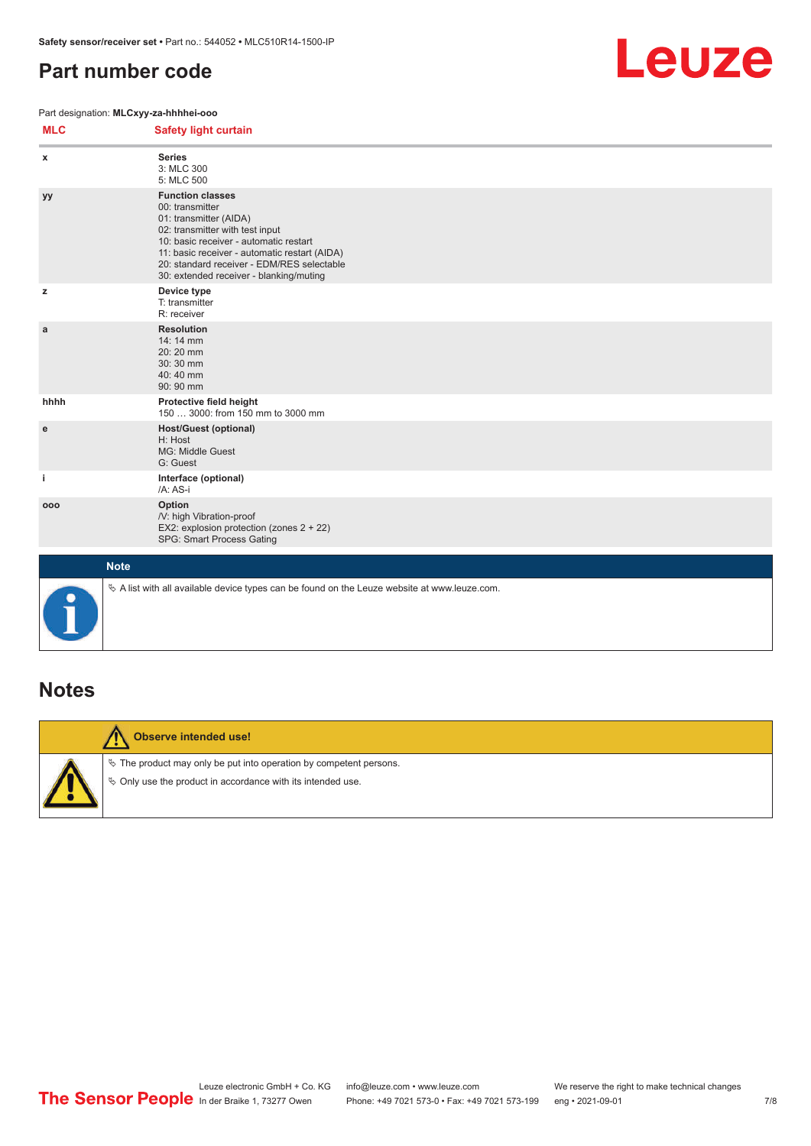## <span id="page-6-0"></span>**Part number code**

#### Part designation: **MLCxyy-za-hhhhei-ooo**

![](_page_6_Picture_3.jpeg)

| <b>MLC</b> | <b>Safety light curtain</b>                                                                                                                                                                                                                                                                 |
|------------|---------------------------------------------------------------------------------------------------------------------------------------------------------------------------------------------------------------------------------------------------------------------------------------------|
| x          | <b>Series</b><br>3: MLC 300<br>5: MLC 500                                                                                                                                                                                                                                                   |
| yу         | <b>Function classes</b><br>00: transmitter<br>01: transmitter (AIDA)<br>02: transmitter with test input<br>10: basic receiver - automatic restart<br>11: basic receiver - automatic restart (AIDA)<br>20: standard receiver - EDM/RES selectable<br>30: extended receiver - blanking/muting |
| z          | Device type<br>T: transmitter<br>R: receiver                                                                                                                                                                                                                                                |
| a          | <b>Resolution</b><br>14: 14 mm<br>20:20 mm<br>30:30 mm<br>40:40 mm<br>90: 90 mm                                                                                                                                                                                                             |
| hhhh       | Protective field height<br>150  3000: from 150 mm to 3000 mm                                                                                                                                                                                                                                |
| e          | <b>Host/Guest (optional)</b><br>H: Host<br>MG: Middle Guest<br>G: Guest                                                                                                                                                                                                                     |
| j.         | Interface (optional)<br>/A: AS-i                                                                                                                                                                                                                                                            |
| 000        | Option<br>/V: high Vibration-proof<br>EX2: explosion protection (zones 2 + 22)<br>SPG: Smart Process Gating                                                                                                                                                                                 |
|            | <b>Note</b>                                                                                                                                                                                                                                                                                 |
|            | $\&$ A list with all available device types can be found on the Leuze website at www.leuze.com.                                                                                                                                                                                             |

### **Notes**

![](_page_6_Picture_6.jpeg)

#### **Observe intended use!**

 $\%$  The product may only be put into operation by competent persons.

 $\%$  Only use the product in accordance with its intended use.